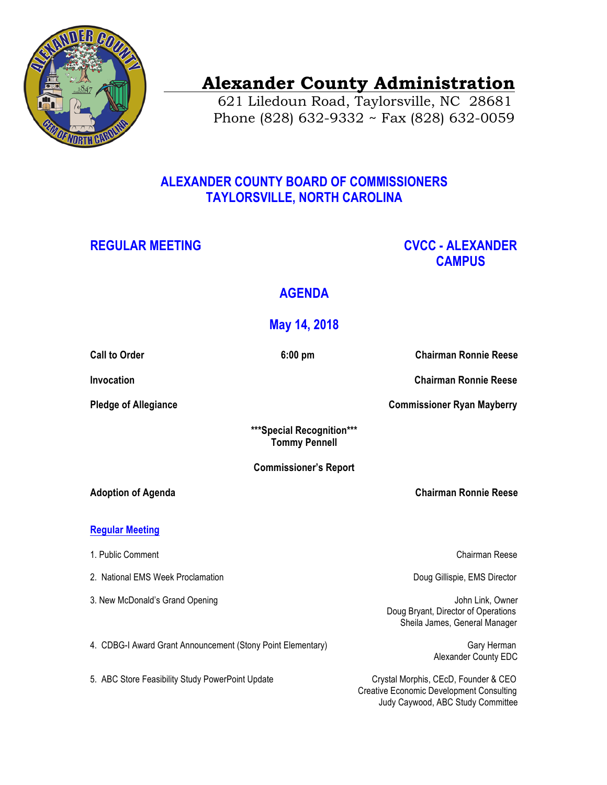

# **Alexander County Administration**

 621 Liledoun Road, Taylorsville, NC 28681 Phone (828) 632-9332 ~ Fax (828) 632-0059

### **ALEXANDER COUNTY BOARD OF COMMISSIONERS TAYLORSVILLE, NORTH CAROLINA**

### REGULAR MEETING **CVCC -** ALEXANDER  **CAMPUS**

## **AGENDA**

### **May 14, 2018**

| <b>Call to Order</b>                                        | $6:00$ pm                                          | <b>Chairman Ronnie Reese</b>                                                                                                 |
|-------------------------------------------------------------|----------------------------------------------------|------------------------------------------------------------------------------------------------------------------------------|
| Invocation                                                  |                                                    | <b>Chairman Ronnie Reese</b>                                                                                                 |
| <b>Pledge of Allegiance</b>                                 |                                                    | <b>Commissioner Ryan Mayberry</b>                                                                                            |
|                                                             | *** Special Recognition***<br><b>Tommy Pennell</b> |                                                                                                                              |
| <b>Commissioner's Report</b>                                |                                                    |                                                                                                                              |
| <b>Adoption of Agenda</b>                                   |                                                    | <b>Chairman Ronnie Reese</b>                                                                                                 |
| <b>Regular Meeting</b>                                      |                                                    |                                                                                                                              |
| 1. Public Comment                                           |                                                    | Chairman Reese                                                                                                               |
| 2. National EMS Week Proclamation                           |                                                    | Doug Gillispie, EMS Director                                                                                                 |
| 3. New McDonald's Grand Opening                             |                                                    | John Link, Owner<br>Doug Bryant, Director of Operations<br>Sheila James, General Manager                                     |
| 4. CDBG-I Award Grant Announcement (Stony Point Elementary) |                                                    | Gary Herman<br>Alexander County EDC                                                                                          |
| 5. ABC Store Feasibility Study PowerPoint Update            |                                                    | Crystal Morphis, CEcD, Founder & CEO<br><b>Creative Economic Development Consulting</b><br>Judy Caywood, ABC Study Committee |